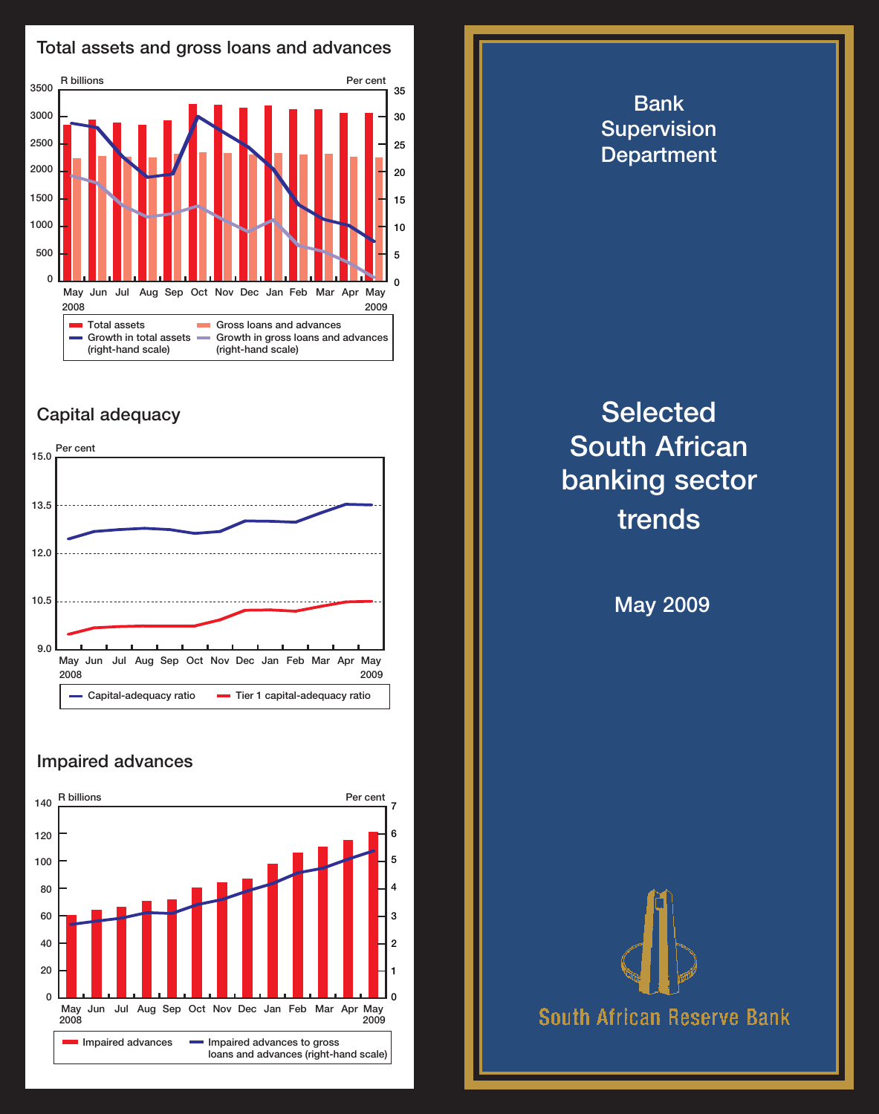

## Capital adequacy



## Impaired advances



**Supervision Department Selected** South African banking sector trends May 2009

Bank